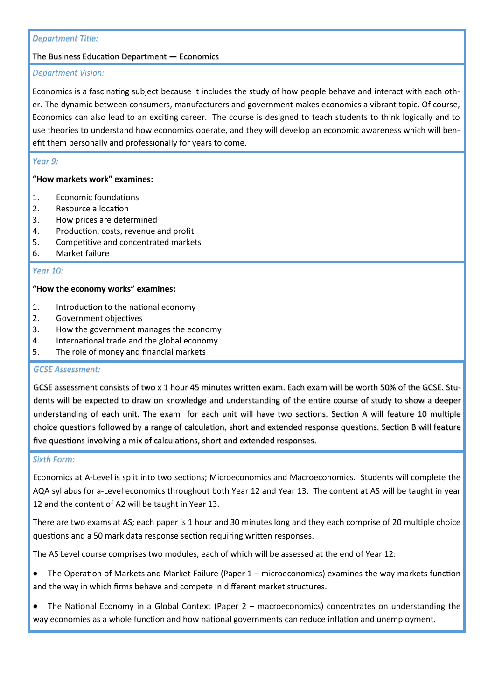# *Department Title:*

# The Business Education Department — Economics

# *Department Vision:*

Economics is a fascinating subject because it includes the study of how people behave and interact with each other. The dynamic between consumers, manufacturers and government makes economics a vibrant topic. Of course, Economics can also lead to an exciting career. The course is designed to teach students to think logically and to use theories to understand how economics operate, and they will develop an economic awareness which will benefit them personally and professionally for years to come.

# *Year 9:*

# **"How markets work" examines:**

- 1. Economic foundations
- 2. Resource allocation
- 3. How prices are determined
- 4. Production, costs, revenue and profit
- 5. Competitive and concentrated markets
- 6. Market failure

## *Year 10:*

## **"How the economy works" examines:**

- 1. Introduction to the national economy
- 2. Government objectives
- 3. How the government manages the economy
- 4. International trade and the global economy
- 5. The role of money and financial markets

#### *GCSE Assessment:*

GCSE assessment consists of two x 1 hour 45 minutes written exam. Each exam will be worth 50% of the GCSE. Students will be expected to draw on knowledge and understanding of the entire course of study to show a deeper understanding of each unit. The exam for each unit will have two sections. Section A will feature 10 multiple choice questions followed by a range of calculation, short and extended response questions. Section B will feature five questions involving a mix of calculations, short and extended responses.

#### *Sixth Form:*

Economics at A-Level is split into two sections; Microeconomics and Macroeconomics. Students will complete the AQA syllabus for a-Level economics throughout both Year 12 and Year 13. The content at AS will be taught in year 12 and the content of A2 will be taught in Year 13.

There are two exams at AS; each paper is 1 hour and 30 minutes long and they each comprise of 20 multiple choice questions and a 50 mark data response section requiring written responses.

The AS Level course comprises two modules, each of which will be assessed at the end of Year 12:

- The Operation of Markets and Market Failure (Paper 1 microeconomics) examines the way markets function and the way in which firms behave and compete in different market structures.
- The National Economy in a Global Context (Paper 2 macroeconomics) concentrates on understanding the way economies as a whole function and how national governments can reduce inflation and unemployment.